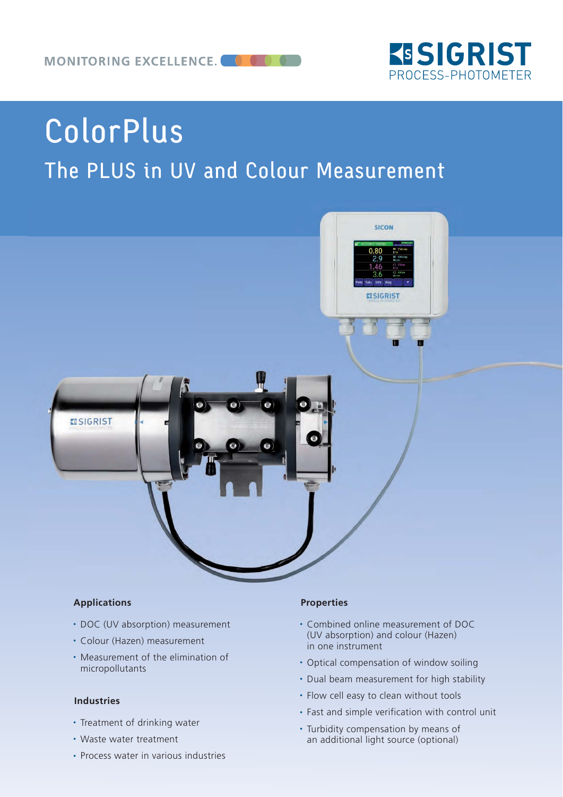

# ColorPlus The PLUS in UV and Colour Measurement



#### **Applications**

- DOC (UV absorption) measurement
- Colour (Hazen) measurement
- Measurement of the elimination of micropollutants

#### **Industries**

- Treatment of drinking water
- Waste water treatment
- Process water in various industries

#### **Properties**

- Combined online measurement of DOC (UV absorption) and colour (Hazen) in one instrument
- Optical compensation of window soiling
- Dual beam measurement for high stability
- Flow cell easy to clean without tools
- Fast and simple verification with control unit
- Turbidity compensation by means of an additional light source (optional)